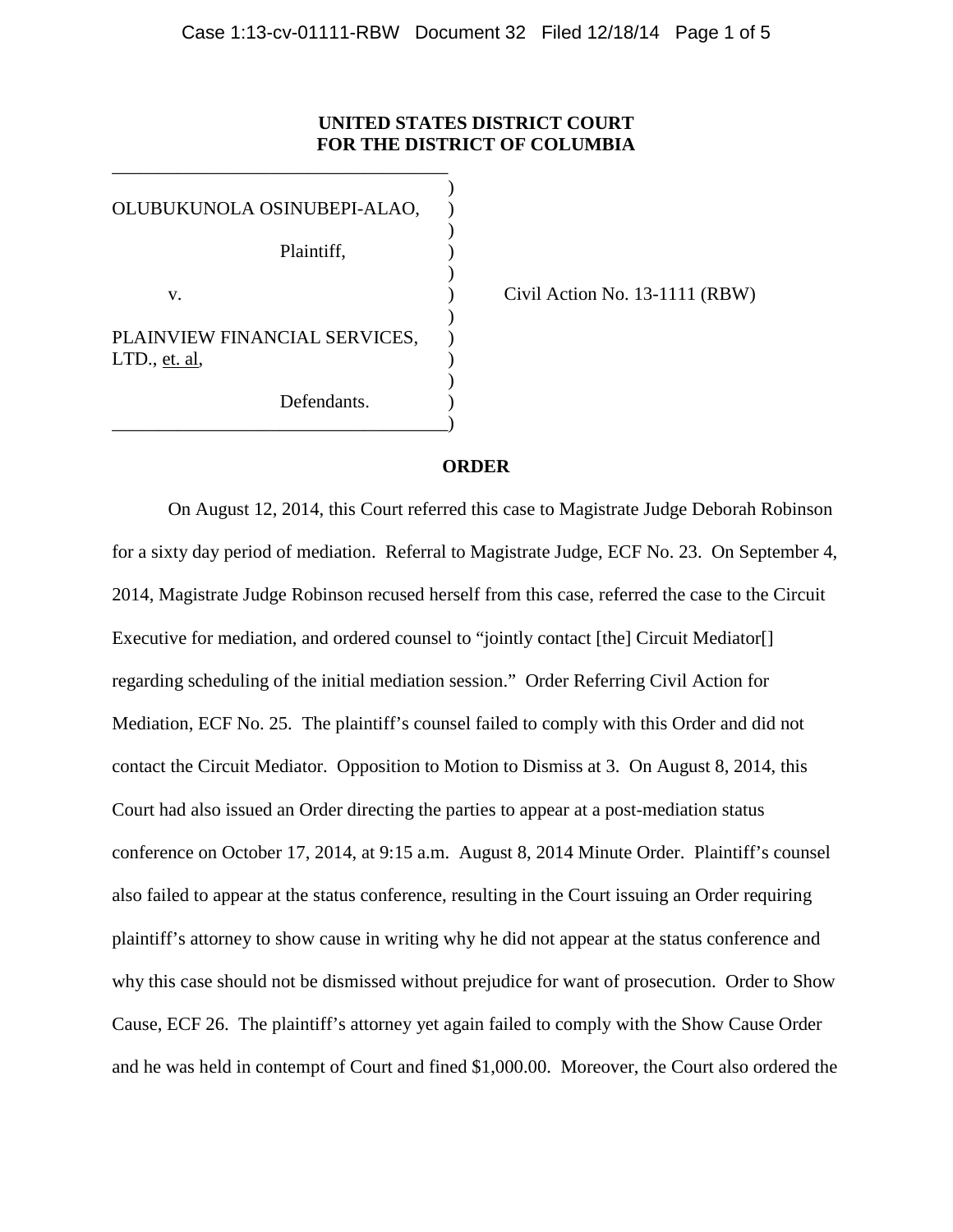# **UNITED STATES DISTRICT COURT FOR THE DISTRICT OF COLUMBIA**

) OLUBUKUNOLA OSINUBEPI-ALAO, ) Plaintiff, ) ) v. (a) Civil Action No. 13-1111 (RBW) ) PLAINVIEW FINANCIAL SERVICES,  $LTD.$ , et. al, ) Defendants. \_\_\_\_\_\_\_\_\_\_\_\_\_\_\_\_\_\_\_\_\_\_\_\_\_\_\_\_\_\_\_\_\_\_\_\_)

\_\_\_\_\_\_\_\_\_\_\_\_\_\_\_\_\_\_\_\_\_\_\_\_\_\_\_\_\_\_\_\_\_\_\_\_

## **ORDER**

On August 12, 2014, this Court referred this case to Magistrate Judge Deborah Robinson for a sixty day period of mediation. Referral to Magistrate Judge, ECF No. 23. On September 4, 2014, Magistrate Judge Robinson recused herself from this case, referred the case to the Circuit Executive for mediation, and ordered counsel to "jointly contact [the] Circuit Mediator[] regarding scheduling of the initial mediation session." Order Referring Civil Action for Mediation, ECF No. 25. The plaintiff's counsel failed to comply with this Order and did not contact the Circuit Mediator. Opposition to Motion to Dismiss at 3. On August 8, 2014, this Court had also issued an Order directing the parties to appear at a post-mediation status conference on October 17, 2014, at 9:15 a.m. August 8, 2014 Minute Order. Plaintiff's counsel also failed to appear at the status conference, resulting in the Court issuing an Order requiring plaintiff's attorney to show cause in writing why he did not appear at the status conference and why this case should not be dismissed without prejudice for want of prosecution. Order to Show Cause, ECF 26. The plaintiff's attorney yet again failed to comply with the Show Cause Order and he was held in contempt of Court and fined \$1,000.00. Moreover, the Court also ordered the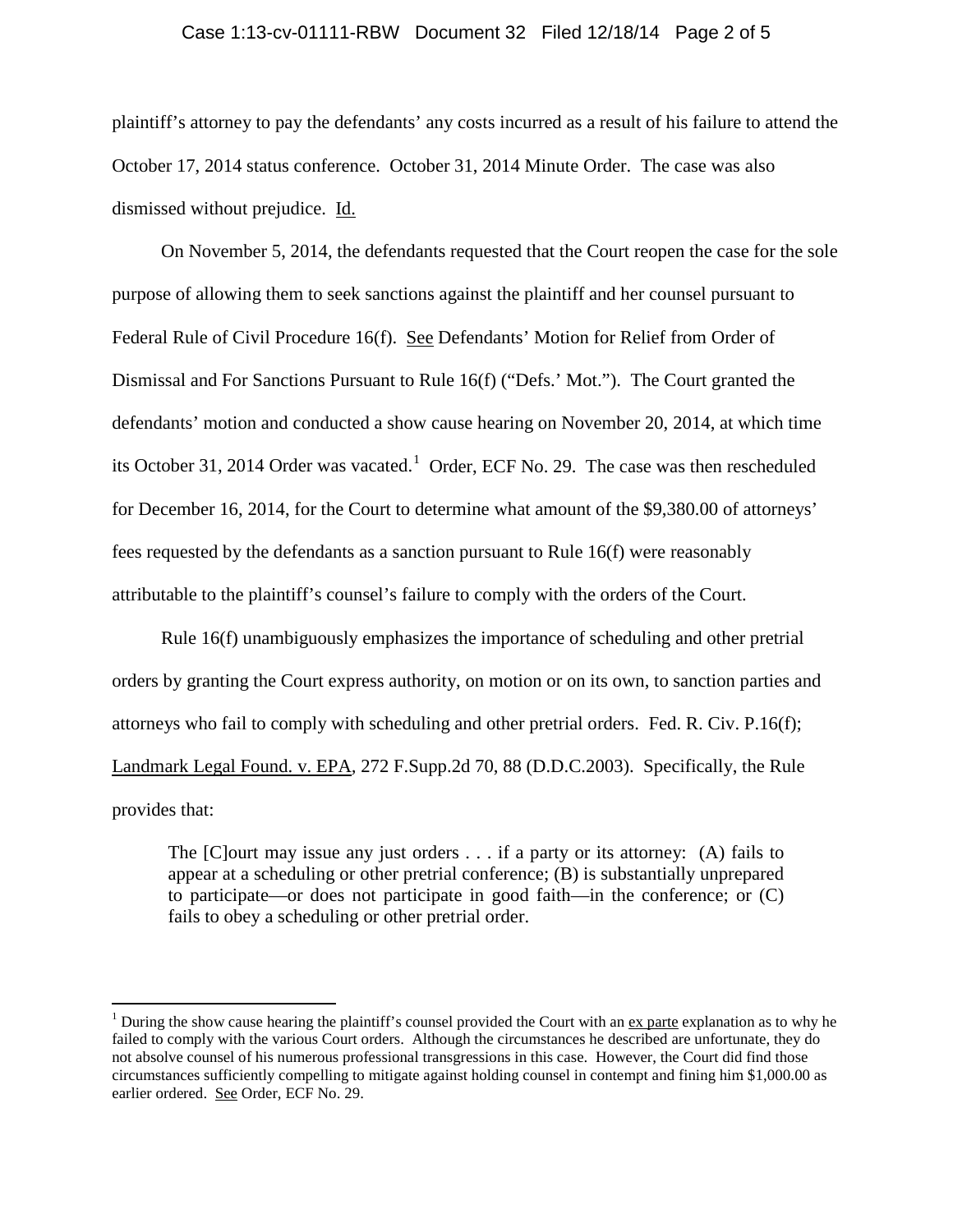#### Case 1:13-cv-01111-RBW Document 32 Filed 12/18/14 Page 2 of 5

plaintiff's attorney to pay the defendants' any costs incurred as a result of his failure to attend the October 17, 2014 status conference. October 31, 2014 Minute Order. The case was also dismissed without prejudice. Id.

On November 5, 2014, the defendants requested that the Court reopen the case for the sole purpose of allowing them to seek sanctions against the plaintiff and her counsel pursuant to Federal Rule of Civil Procedure 16(f). See Defendants' Motion for Relief from Order of Dismissal and For Sanctions Pursuant to Rule 16(f) ("Defs.' Mot."). The Court granted the defendants' motion and conducted a show cause hearing on November 20, 2014, at which time its October 3[1](#page-1-0), 2014 Order was vacated.<sup>1</sup> Order, ECF No. 29. The case was then rescheduled for December 16, 2014, for the Court to determine what amount of the \$9,380.00 of attorneys' fees requested by the defendants as a sanction pursuant to Rule 16(f) were reasonably attributable to the plaintiff's counsel's failure to comply with the orders of the Court.

Rule [16\(f\)](https://a.next.westlaw.com/Link/Document/FullText?findType=L&pubNum=1004365&cite=USFRCPR16&originatingDoc=Id2da7e9a0e8511e2b60bb297d3d07bc5&refType=LQ&originationContext=document&transitionType=DocumentItem&contextData=(sc.Keycite)) unambiguously emphasizes the importance of scheduling and other pretrial orders by granting the Court express authority, on motion or on its own, to sanction parties and attorneys who fail to comply with scheduling and other pretrial orders. [Fed. R. Civ. P.16\(f\);](https://a.next.westlaw.com/Link/Document/FullText?findType=L&pubNum=1004365&cite=USFRCPR16&originatingDoc=Id2da7e9a0e8511e2b60bb297d3d07bc5&refType=LQ&originationContext=document&transitionType=DocumentItem&contextData=(sc.Keycite)) Landmark Legal Found. v. EPA*,* [272 F.Supp.2d 70, 88 \(D.D.C.2003\).](https://a.next.westlaw.com/Link/Document/FullText?findType=Y&serNum=2003515710&pubNum=4637&originatingDoc=Id2da7e9a0e8511e2b60bb297d3d07bc5&refType=RP&fi=co_pp_sp_4637_88&originationContext=document&transitionType=DocumentItem&contextData=(sc.Keycite)#co_pp_sp_4637_88) Specifically, the Rule provides that:

The [C]ourt may issue any just orders . . . if a party or its attorney: (A) fails to appear at a scheduling or other pretrial conference; (B) is substantially unprepared to participate—or does not participate in good faith—in the conference; or (C) fails to obey a scheduling or other pretrial order.

<span id="page-1-0"></span><sup>&</sup>lt;sup>1</sup> During the show cause hearing the plaintiff's counsel provided the Court with an ex parte explanation as to why he failed to comply with the various Court orders. Although the circumstances he described are unfortunate, they do not absolve counsel of his numerous professional transgressions in this case. However, the Court did find those circumstances sufficiently compelling to mitigate against holding counsel in contempt and fining him \$1,000.00 as earlier ordered. See Order, ECF No. 29.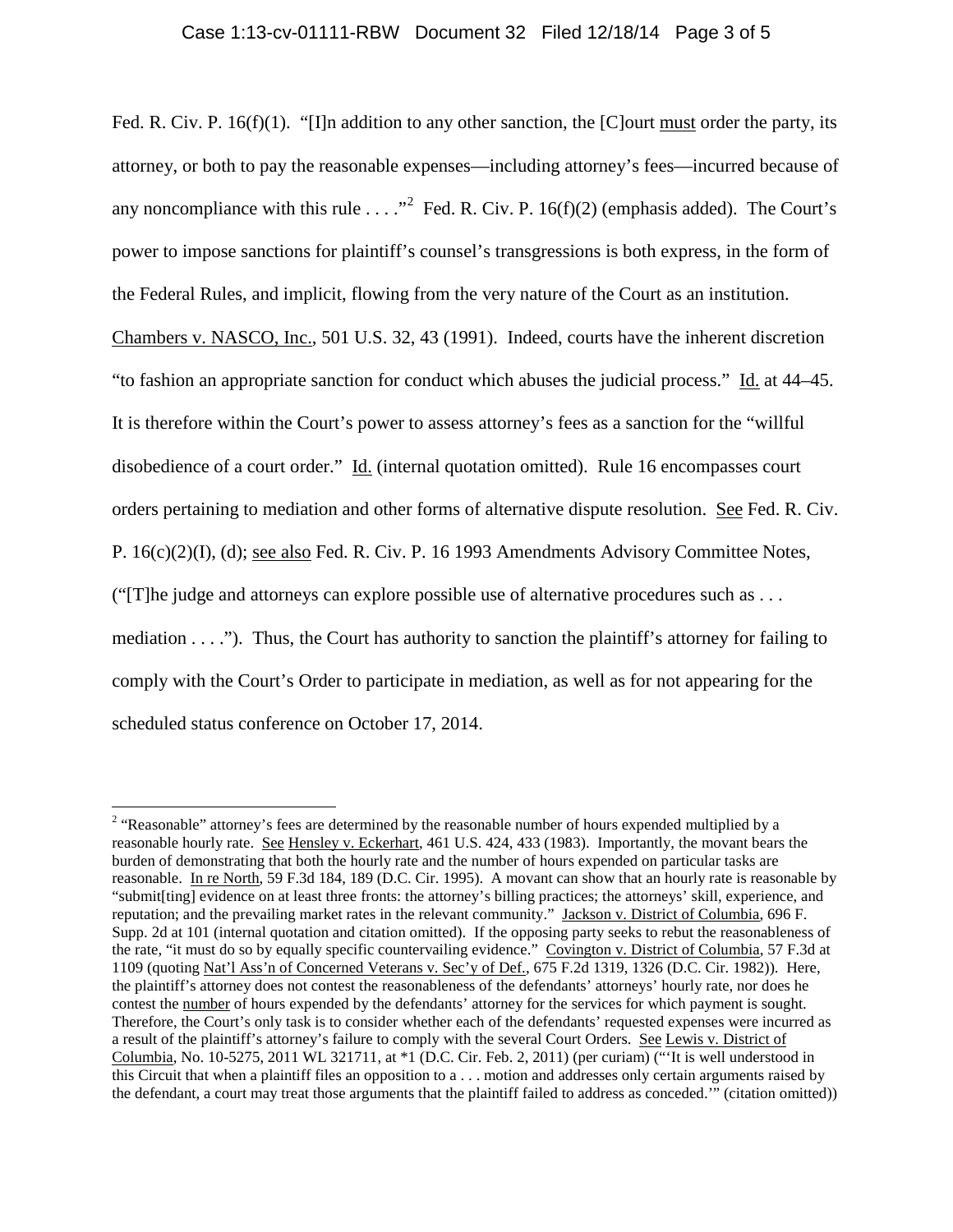## Case 1:13-cv-01111-RBW Document 32 Filed 12/18/14 Page 3 of 5

Fed. R. Civ. P. 16(f)(1). "[I]n addition to any other sanction, the [C]ourt must order the party, its attorney, or both to pay the reasonable expenses—including attorney's fees—incurred because of any noncompliance with this rule  $\ldots$ ." Fed. R. Civ. P. 16(f)([2](#page-2-0)) (emphasis added). The Court's power to impose sanctions for plaintiff's counsel's transgressions is both express, in the form of the Federal Rules, and implicit, flowing from the very nature of the Court as an institution. [Chambers v. NASCO, Inc., 501 U.S. 32, 43 \(1991\).](https://a.next.westlaw.com/Link/Document/FullText?findType=Y&serNum=1991102989&pubNum=708&originatingDoc=Id2da7e9a0e8511e2b60bb297d3d07bc5&refType=RP&originationContext=document&transitionType=DocumentItem&contextData=(sc.Keycite)) Indeed, courts have the inherent discretion "to fashion an appropriate sanction for conduct which abuses the judicial process." Id. [at 44–45.](https://a.next.westlaw.com/Link/Document/FullText?findType=Y&serNum=1991102989&pubNum=708&originatingDoc=Id2da7e9a0e8511e2b60bb297d3d07bc5&refType=RP&originationContext=document&transitionType=DocumentItem&contextData=(sc.Keycite)) It is therefore within the Court's power to assess attorney's fees as a sanction for the "willful disobedience of a court order." Id. (internal quotation omitted). Rule 16 encompasses court orders pertaining to mediation and other forms of alternative dispute resolution. See Fed. R. Civ. P. 16(c)(2)(I), (d); see also Fed. R. Civ. P. 16 1993 Amendments Advisory Committee Notes, ("[T]he judge and attorneys can explore possible use of alternative procedures such as . . . mediation . . . ."). Thus, the Court has authority to sanction the plaintiff's attorney for failing to comply with the Court's Order to participate in mediation, as well as for not appearing for the scheduled status conference on October 17, 2014.

<span id="page-2-0"></span><sup>&</sup>lt;sup>2</sup> "Reasonable" attorney's fees are determined by the reasonable number of hours expended multiplied by a reasonable hourly rate. See Hensley v. Eckerhart, 461 U.S. 424, 433 (1983). Importantly, the movant bears the burden of demonstrating that both the hourly rate and the number of hours expended on particular tasks are reasonable. In re North, 59 F.3d 184, 189 (D.C. Cir. 1995). A movant can show that an hourly rate is reasonable by "submit[ting] evidence on at least three fronts: the attorney's billing practices; the attorneys' skill, experience, and reputation; and the prevailing market rates in the relevant community." Jackson v. District of Columbia, 696 F. Supp. 2d at 101 (internal quotation and citation omitted). If the opposing party seeks to rebut the reasonableness of the rate, "it must do so by equally specific countervailing evidence." Covington v. District of Columbia, 57 F.3d at 1109 (quoting Nat'l Ass'n of Concerned Veterans v. Sec'y of Def., 675 F.2d 1319, 1326 (D.C. Cir. 1982)). Here, the plaintiff's attorney does not contest the reasonableness of the defendants' attorneys' hourly rate, nor does he contest the number of hours expended by the defendants' attorney for the services for which payment is sought. Therefore, the Court's only task is to consider whether each of the defendants' requested expenses were incurred as a result of the plaintiff's attorney's failure to comply with the several Court Orders. See Lewis v. District of Columbia, No. 10-5275, 2011 WL 321711, at \*1 (D.C. Cir. Feb. 2, 2011) (per curiam) ("'It is well understood in this Circuit that when a plaintiff files an opposition to a . . . motion and addresses only certain arguments raised by the defendant, a court may treat those arguments that the plaintiff failed to address as conceded.'" (citation omitted))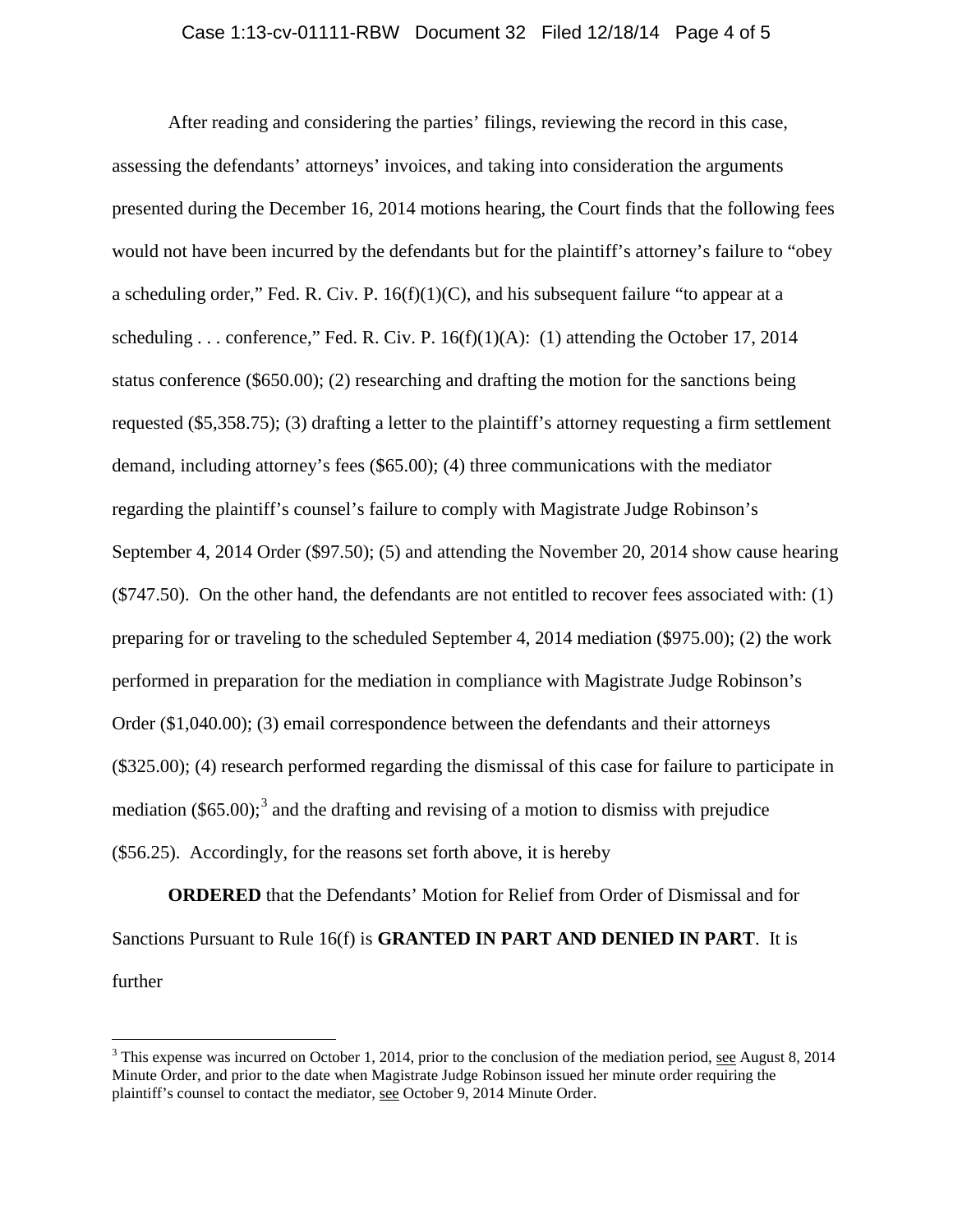## Case 1:13-cv-01111-RBW Document 32 Filed 12/18/14 Page 4 of 5

After reading and considering the parties' filings, reviewing the record in this case, assessing the defendants' attorneys' invoices, and taking into consideration the arguments presented during the December 16, 2014 motions hearing, the Court finds that the following fees would not have been incurred by the defendants but for the plaintiff's attorney's failure to "obey a scheduling order," Fed. R. Civ. P.  $16(f)(1)(C)$ , and his subsequent failure "to appear at a scheduling ... conference," Fed. R. Civ. P.  $16(f)(1)(A)$ : (1) attending the October 17, 2014 status conference (\$650.00); (2) researching and drafting the motion for the sanctions being requested (\$5,358.75); (3) drafting a letter to the plaintiff's attorney requesting a firm settlement demand, including attorney's fees (\$65.00); (4) three communications with the mediator regarding the plaintiff's counsel's failure to comply with Magistrate Judge Robinson's September 4, 2014 Order (\$97.50); (5) and attending the November 20, 2014 show cause hearing (\$747.50). On the other hand, the defendants are not entitled to recover fees associated with: (1) preparing for or traveling to the scheduled September 4, 2014 mediation (\$975.00); (2) the work performed in preparation for the mediation in compliance with Magistrate Judge Robinson's Order (\$1,040.00); (3) email correspondence between the defendants and their attorneys (\$325.00); (4) research performed regarding the dismissal of this case for failure to participate in mediation  $(\$65.00)$ ;<sup>[3](#page-3-0)</sup> and the drafting and revising of a motion to dismiss with prejudice (\$56.25). Accordingly, for the reasons set forth above, it is hereby

**ORDERED** that the Defendants' Motion for Relief from Order of Dismissal and for Sanctions Pursuant to Rule 16(f) is **GRANTED IN PART AND DENIED IN PART**. It is further

<span id="page-3-0"></span><sup>&</sup>lt;sup>3</sup> This expense was incurred on October 1, 2014, prior to the conclusion of the mediation period, see August 8, 2014 Minute Order, and prior to the date when Magistrate Judge Robinson issued her minute order requiring the plaintiff's counsel to contact the mediator, see October 9, 2014 Minute Order.